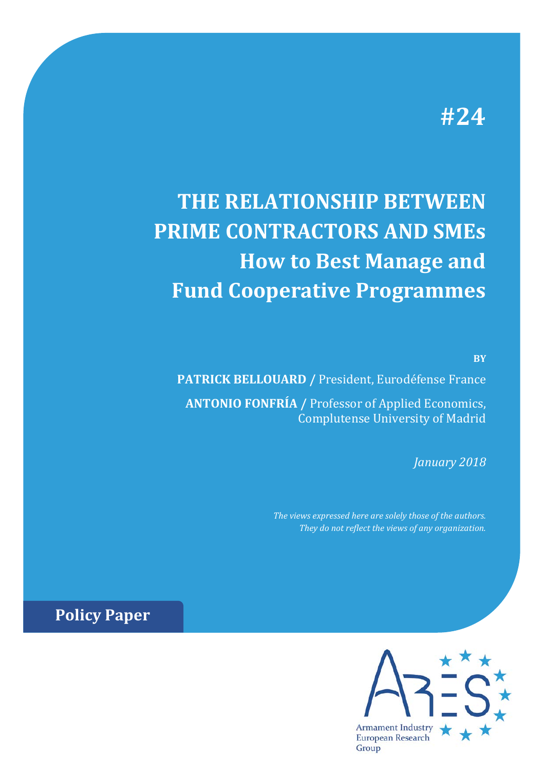## **#24**

# **THE RELATIONSHIP BETWEEN PRIME CONTRACTORS AND SMEs How to Best Manage and Fund Cooperative Programmes**

**BY**

**PATRICK BELLOUARD /** President, Eurodéfense France **ANTONIO FONFRÍA /** Professor of Applied Economics, Complutense University of Madrid

*January 2018*

*The views expressed here are solely those of the authors. They do not reflect the views of any organization.*

**Policy Paper**

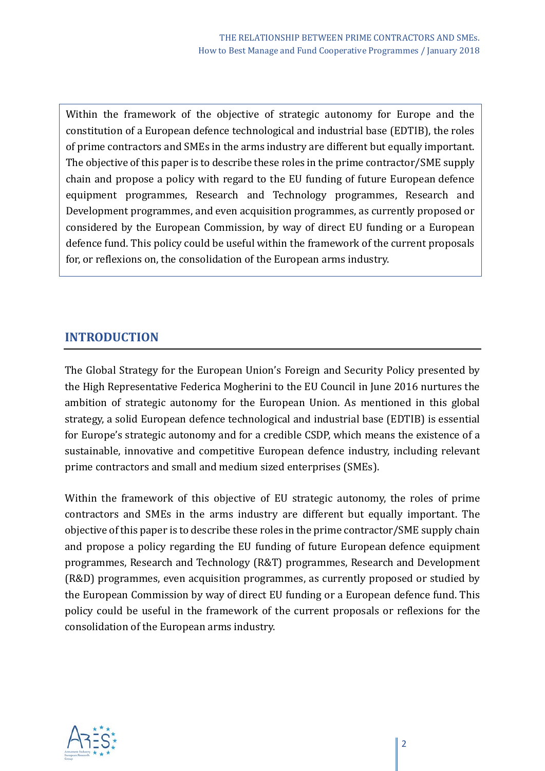Within the framework of the objective of strategic autonomy for Europe and the constitution of a European defence technological and industrial base (EDTIB), the roles of prime contractors and SMEs in the arms industry are different but equally important. The objective of this paper is to describe these roles in the prime contractor/SME supply chain and propose a policy with regard to the EU funding of future European defence equipment programmes, Research and Technology programmes, Research and Development programmes, and even acquisition programmes, as currently proposed or considered by the European Commission, by way of direct EU funding or a European defence fund. This policy could be useful within the framework of the current proposals for, or reflexions on, the consolidation of the European arms industry.

#### **INTRODUCTION**

The Global Strategy for the European Union's Foreign and Security Policy presented by the High Representative Federica Mogherini to the EU Council in June 2016 nurtures the ambition of strategic autonomy for the European Union. As mentioned in this global strategy, a solid European defence technological and industrial base (EDTIB) is essential for Europe's strategic autonomy and for a credible CSDP, which means the existence of a sustainable, innovative and competitive European defence industry, including relevant prime contractors and small and medium sized enterprises (SMEs).

Within the framework of this objective of EU strategic autonomy, the roles of prime contractors and SMEs in the arms industry are different but equally important. The objective of this paper is to describe these roles in the prime contractor/SME supply chain and propose a policy regarding the EU funding of future European defence equipment programmes, Research and Technology (R&T) programmes, Research and Development (R&D) programmes, even acquisition programmes, as currently proposed or studied by the European Commission by way of direct EU funding or a European defence fund. This policy could be useful in the framework of the current proposals or reflexions for the consolidation of the European arms industry.

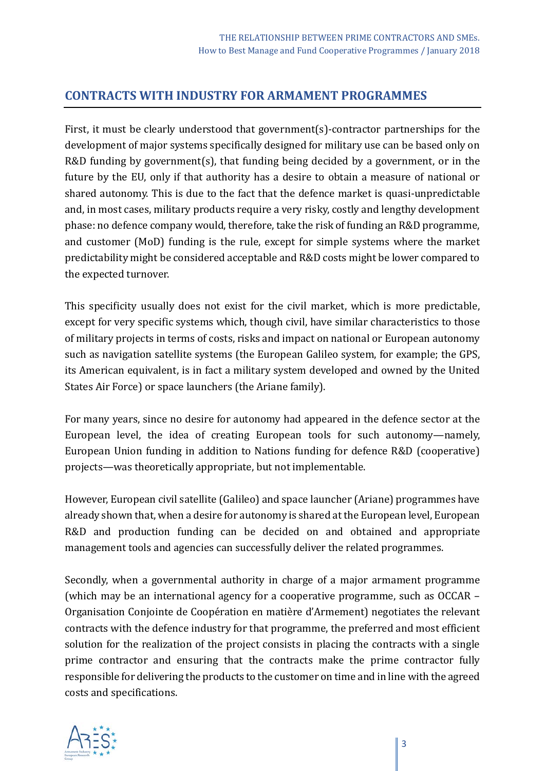#### **CONTRACTS WITH INDUSTRY FOR ARMAMENT PROGRAMMES**

First, it must be clearly understood that government(s)-contractor partnerships for the development of major systems specifically designed for military use can be based only on R&D funding by government(s), that funding being decided by a government, or in the future by the EU, only if that authority has a desire to obtain a measure of national or shared autonomy. This is due to the fact that the defence market is quasi-unpredictable and, in most cases, military products require a very risky, costly and lengthy development phase: no defence company would, therefore, take the risk of funding an R&D programme, and customer (MoD) funding is the rule, except for simple systems where the market predictability might be considered acceptable and R&D costs might be lower compared to the expected turnover.

This specificity usually does not exist for the civil market, which is more predictable, except for very specific systems which, though civil, have similar characteristics to those of military projects in terms of costs, risks and impact on national or European autonomy such as navigation satellite systems (the European Galileo system, for example; the GPS, its American equivalent, is in fact a military system developed and owned by the United States Air Force) or space launchers (the Ariane family).

For many years, since no desire for autonomy had appeared in the defence sector at the European level, the idea of creating European tools for such autonomy—namely, European Union funding in addition to Nations funding for defence R&D (cooperative) projects—was theoretically appropriate, but not implementable.

However, European civil satellite (Galileo) and space launcher (Ariane) programmes have already shown that, when a desire for autonomy is shared at the European level, European R&D and production funding can be decided on and obtained and appropriate management tools and agencies can successfully deliver the related programmes.

Secondly, when a governmental authority in charge of a major armament programme (which may be an international agency for a cooperative programme, such as OCCAR – Organisation Conjointe de Coopération en matière d'Armement) negotiates the relevant contracts with the defence industry for that programme, the preferred and most efficient solution for the realization of the project consists in placing the contracts with a single prime contractor and ensuring that the contracts make the prime contractor fully responsible for delivering the products to the customer on time and in line with the agreed costs and specifications.

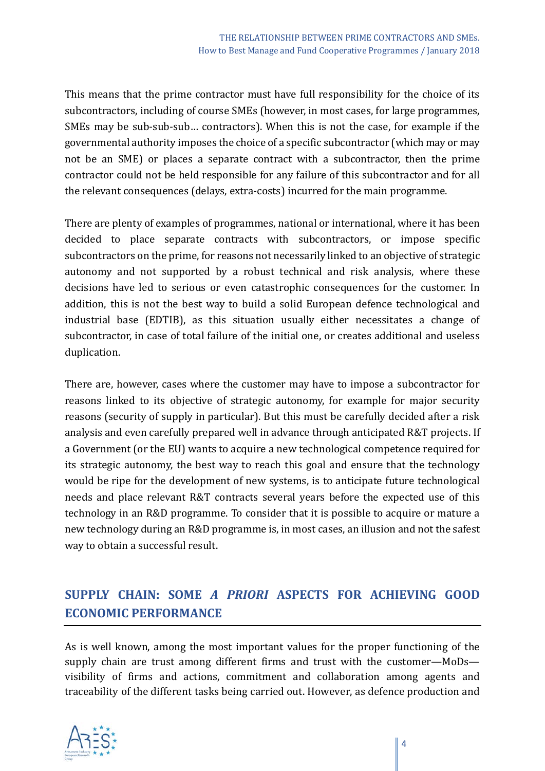This means that the prime contractor must have full responsibility for the choice of its subcontractors, including of course SMEs (however, in most cases, for large programmes, SMEs may be sub-sub-sub… contractors). When this is not the case, for example if the governmental authority imposes the choice of a specific subcontractor (which may or may not be an SME) or places a separate contract with a subcontractor, then the prime contractor could not be held responsible for any failure of this subcontractor and for all the relevant consequences (delays, extra-costs) incurred for the main programme.

There are plenty of examples of programmes, national or international, where it has been decided to place separate contracts with subcontractors, or impose specific subcontractors on the prime, for reasons not necessarily linked to an objective of strategic autonomy and not supported by a robust technical and risk analysis, where these decisions have led to serious or even catastrophic consequences for the customer. In addition, this is not the best way to build a solid European defence technological and industrial base (EDTIB), as this situation usually either necessitates a change of subcontractor, in case of total failure of the initial one, or creates additional and useless duplication.

There are, however, cases where the customer may have to impose a subcontractor for reasons linked to its objective of strategic autonomy, for example for major security reasons (security of supply in particular). But this must be carefully decided after a risk analysis and even carefully prepared well in advance through anticipated R&T projects. If a Government (or the EU) wants to acquire a new technological competence required for its strategic autonomy, the best way to reach this goal and ensure that the technology would be ripe for the development of new systems, is to anticipate future technological needs and place relevant R&T contracts several years before the expected use of this technology in an R&D programme. To consider that it is possible to acquire or mature a new technology during an R&D programme is, in most cases, an illusion and not the safest way to obtain a successful result.

## **SUPPLY CHAIN: SOME** *A PRIORI* **ASPECTS FOR ACHIEVING GOOD ECONOMIC PERFORMANCE**

As is well known, among the most important values for the proper functioning of the supply chain are trust among different firms and trust with the customer—MoDs visibility of firms and actions, commitment and collaboration among agents and traceability of the different tasks being carried out. However, as defence production and

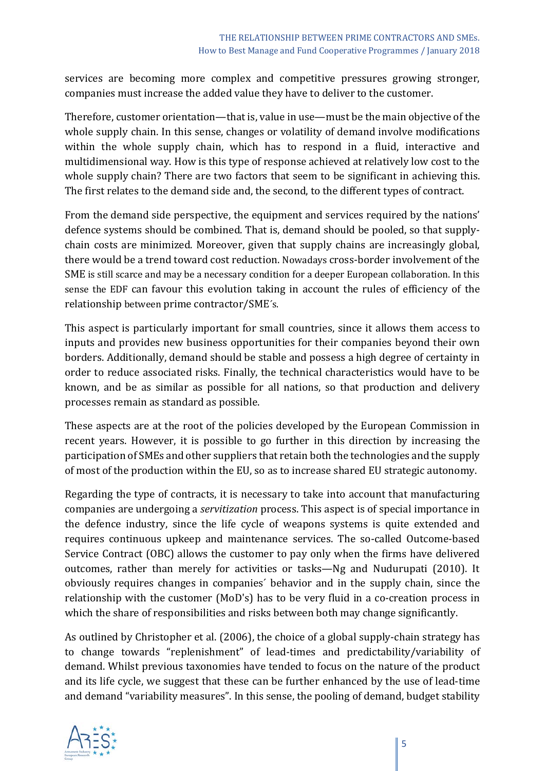services are becoming more complex and competitive pressures growing stronger, companies must increase the added value they have to deliver to the customer.

Therefore, customer orientation—that is, value in use—must be the main objective of the whole supply chain. In this sense, changes or volatility of demand involve modifications within the whole supply chain, which has to respond in a fluid, interactive and multidimensional way. How is this type of response achieved at relatively low cost to the whole supply chain? There are two factors that seem to be significant in achieving this. The first relates to the demand side and, the second, to the different types of contract.

From the demand side perspective, the equipment and services required by the nations' defence systems should be combined. That is, demand should be pooled, so that supplychain costs are minimized. Moreover, given that supply chains are increasingly global, there would be a trend toward cost reduction. Nowadays cross-border involvement of the SME is still scarce and may be a necessary condition for a deeper European collaboration. In this sense the EDF can favour this evolution taking in account the rules of efficiency of the relationship between prime contractor/SME´s.

This aspect is particularly important for small countries, since it allows them access to inputs and provides new business opportunities for their companies beyond their own borders. Additionally, demand should be stable and possess a high degree of certainty in order to reduce associated risks. Finally, the technical characteristics would have to be known, and be as similar as possible for all nations, so that production and delivery processes remain as standard as possible.

These aspects are at the root of the policies developed by the European Commission in recent years. However, it is possible to go further in this direction by increasing the participation of SMEs and other suppliers that retain both the technologies and the supply of most of the production within the EU, so as to increase shared EU strategic autonomy.

Regarding the type of contracts, it is necessary to take into account that manufacturing companies are undergoing a *servitization* process. This aspect is of special importance in the defence industry, since the life cycle of weapons systems is quite extended and requires continuous upkeep and maintenance services. The so-called Outcome-based Service Contract (OBC) allows the customer to pay only when the firms have delivered outcomes, rather than merely for activities or tasks—Ng and Nudurupati (2010). It obviously requires changes in companies´ behavior and in the supply chain, since the relationship with the customer (MoD's) has to be very fluid in a co-creation process in which the share of responsibilities and risks between both may change significantly.

As outlined by Christopher et al. (2006), the choice of a global supply-chain strategy has to change towards "replenishment" of lead-times and predictability/variability of demand. Whilst previous taxonomies have tended to focus on the nature of the product and its life cycle, we suggest that these can be further enhanced by the use of lead-time and demand "variability measures". In this sense, the pooling of demand, budget stability

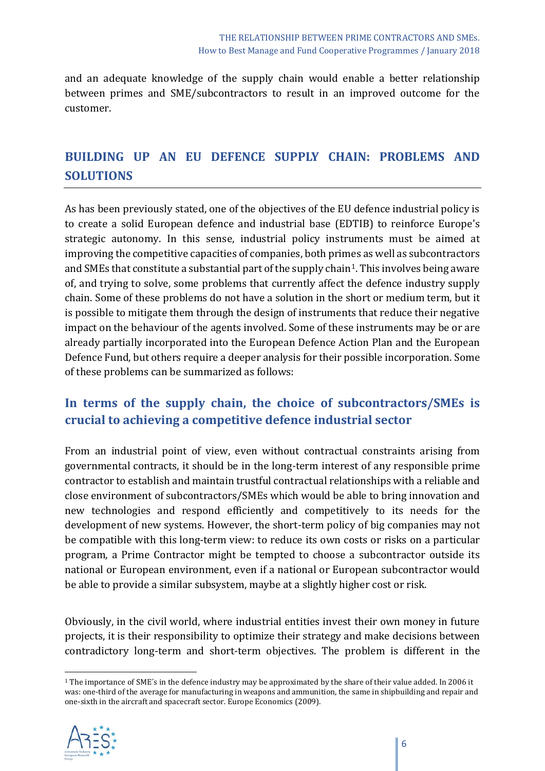and an adequate knowledge of the supply chain would enable a better relationship between primes and SME/subcontractors to result in an improved outcome for the customer.

## **BUILDING UP AN EU DEFENCE SUPPLY CHAIN: PROBLEMS AND SOLUTIONS**

As has been previously stated, one of the objectives of the EU defence industrial policy is to create a solid European defence and industrial base (EDTIB) to reinforce Europe's strategic autonomy. In this sense, industrial policy instruments must be aimed at improving the competitive capacities of companies, both primes as well as subcontractors and SMEs that constitute a substantial part of the supply chain<sup>1</sup>. This involves being aware of, and trying to solve, some problems that currently affect the defence industry supply chain. Some of these problems do not have a solution in the short or medium term, but it is possible to mitigate them through the design of instruments that reduce their negative impact on the behaviour of the agents involved. Some of these instruments may be or are already partially incorporated into the European Defence Action Plan and the European Defence Fund, but others require a deeper analysis for their possible incorporation. Some of these problems can be summarized as follows:

## **In terms of the supply chain, the choice of subcontractors/SMEs is crucial to achieving a competitive defence industrial sector**

From an industrial point of view, even without contractual constraints arising from governmental contracts, it should be in the long-term interest of any responsible prime contractor to establish and maintain trustful contractual relationships with a reliable and close environment of subcontractors/SMEs which would be able to bring innovation and new technologies and respond efficiently and competitively to its needs for the development of new systems. However, the short-term policy of big companies may not be compatible with this long-term view: to reduce its own costs or risks on a particular program, a Prime Contractor might be tempted to choose a subcontractor outside its national or European environment, even if a national or European subcontractor would be able to provide a similar subsystem, maybe at a slightly higher cost or risk.

Obviously, in the civil world, where industrial entities invest their own money in future projects, it is their responsibility to optimize their strategy and make decisions between contradictory long-term and short-term objectives. The problem is different in the

<span id="page-5-0"></span><sup>1</sup> The importance of SME´s in the defence industry may be approximated by the share of their value added. In 2006 it was: one-third of the average for manufacturing in weapons and ammunition, the same in shipbuilding and repair and one-sixth in the aircraft and spacecraft sector. Europe Economics (2009).



 $\overline{a}$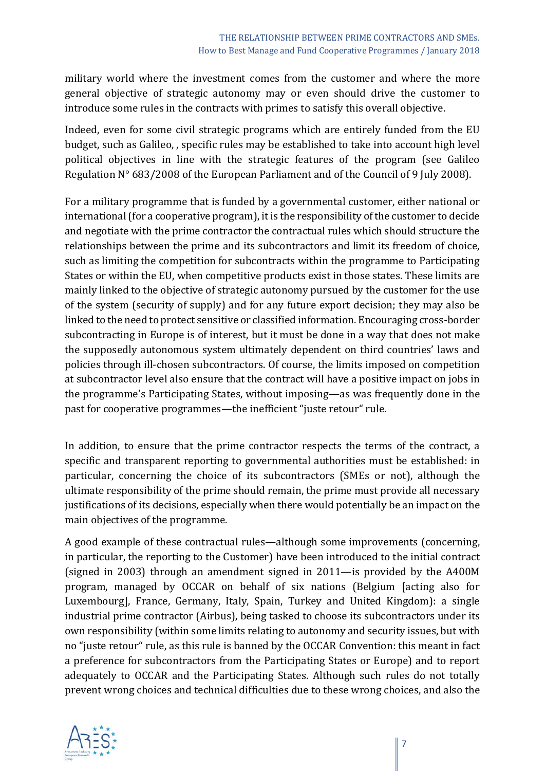military world where the investment comes from the customer and where the more general objective of strategic autonomy may or even should drive the customer to introduce some rules in the contracts with primes to satisfy this overall objective.

Indeed, even for some civil strategic programs which are entirely funded from the EU budget, such as Galileo, , specific rules may be established to take into account high level political objectives in line with the strategic features of the program (see Galileo Regulation N° 683/2008 of the European Parliament and of the Council of 9 July 2008).

For a military programme that is funded by a governmental customer, either national or international (for a cooperative program), it is the responsibility of the customer to decide and negotiate with the prime contractor the contractual rules which should structure the relationships between the prime and its subcontractors and limit its freedom of choice, such as limiting the competition for subcontracts within the programme to Participating States or within the EU, when competitive products exist in those states. These limits are mainly linked to the objective of strategic autonomy pursued by the customer for the use of the system (security of supply) and for any future export decision; they may also be linked to the need to protect sensitive or classified information. Encouraging cross-border subcontracting in Europe is of interest, but it must be done in a way that does not make the supposedly autonomous system ultimately dependent on third countries' laws and policies through ill-chosen subcontractors. Of course, the limits imposed on competition at subcontractor level also ensure that the contract will have a positive impact on jobs in the programme's Participating States, without imposing—as was frequently done in the past for cooperative programmes—the inefficient "juste retour" rule.

In addition, to ensure that the prime contractor respects the terms of the contract, a specific and transparent reporting to governmental authorities must be established: in particular, concerning the choice of its subcontractors (SMEs or not), although the ultimate responsibility of the prime should remain, the prime must provide all necessary justifications of its decisions, especially when there would potentially be an impact on the main objectives of the programme.

A good example of these contractual rules—although some improvements (concerning, in particular, the reporting to the Customer) have been introduced to the initial contract (signed in 2003) through an amendment signed in 2011—is provided by the A400M program, managed by OCCAR on behalf of six nations (Belgium [acting also for Luxembourg], France, Germany, Italy, Spain, Turkey and United Kingdom): a single industrial prime contractor (Airbus), being tasked to choose its subcontractors under its own responsibility (within some limits relating to autonomy and security issues, but with no "juste retour" rule, as this rule is banned by the OCCAR Convention: this meant in fact a preference for subcontractors from the Participating States or Europe) and to report adequately to OCCAR and the Participating States. Although such rules do not totally prevent wrong choices and technical difficulties due to these wrong choices, and also the

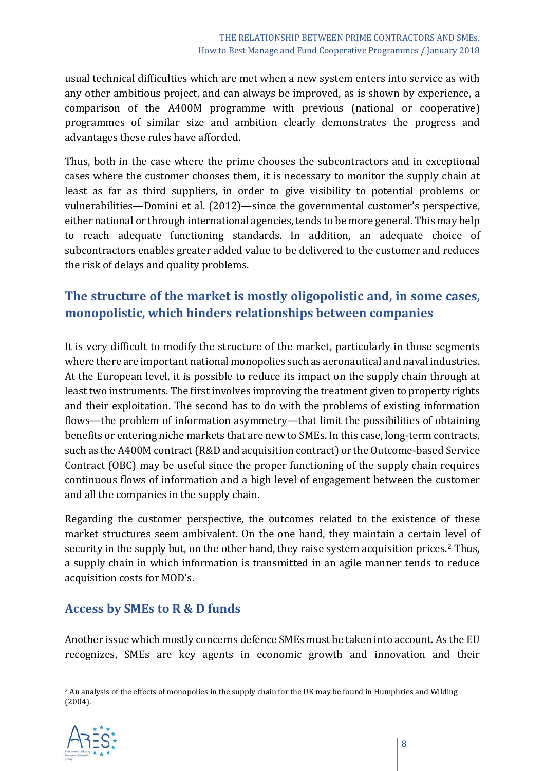usual technical difficulties which are met when a new system enters into service as with any other ambitious project, and can always be improved, as is shown by experience, a comparison of the A400M programme with previous (national or cooperative) programmes of similar size and ambition clearly demonstrates the progress and advantages these rules have afforded.

Thus, both in the case where the prime chooses the subcontractors and in exceptional cases where the customer chooses them, it is necessary to monitor the supply chain at least as far as third suppliers, in order to give visibility to potential problems or vulnerabilities—Domini et al. (2012)—since the governmental customer's perspective, either national or through international agencies, tends to be more general. This may help to reach adequate functioning standards. In addition, an adequate choice of subcontractors enables greater added value to be delivered to the customer and reduces the risk of delays and quality problems.

## **The structure of the market is mostly oligopolistic and, in some cases, monopolistic, which hinders relationships between companies**

It is very difficult to modify the structure of the market, particularly in those segments where there are important national monopolies such as aeronautical and naval industries. At the European level, it is possible to reduce its impact on the supply chain through at least two instruments. The first involves improving the treatment given to property rights and their exploitation. The second has to do with the problems of existing information flows—the problem of information asymmetry—that limit the possibilities of obtaining benefits or entering niche markets that are new to SMEs. In this case, long-term contracts, such as the A400M contract (R&D and acquisition contract) or the Outcome-based Service Contract (OBC) may be useful since the proper functioning of the supply chain requires continuous flows of information and a high level of engagement between the customer and all the companies in the supply chain.

Regarding the customer perspective, the outcomes related to the existence of these market structures seem ambivalent. On the one hand, they maintain a certain level of security in the supply but, on the other hand, they raise system acquisition prices.<sup>[2](#page-7-0)</sup> Thus, a supply chain in which information is transmitted in an agile manner tends to reduce acquisition costs for MOD's.

#### **Access by SMEs to R & D funds**

Another issue which mostly concerns defence SMEs must be taken into account. As the EU recognizes, SMEs are key agents in economic growth and innovation and their

<span id="page-7-0"></span><sup>2</sup> An analysis of the effects of monopolies in the supply chain for the UK may be found in Humphries and Wilding (2004).



 $\overline{a}$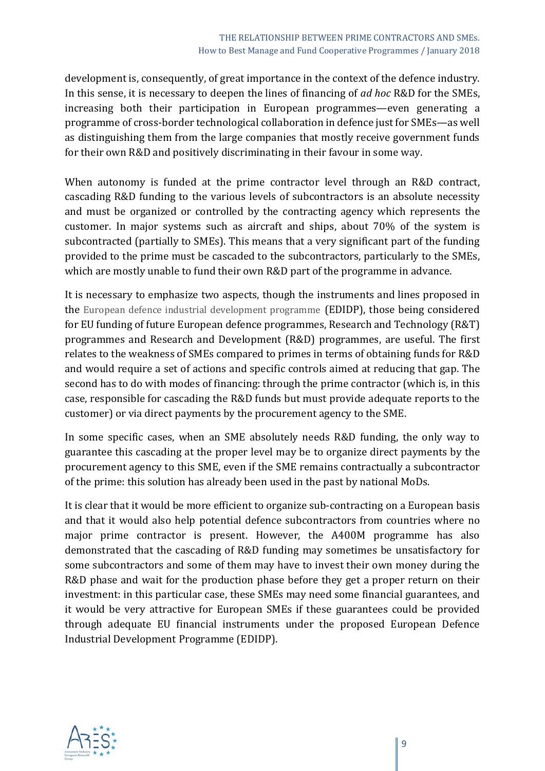development is, consequently, of great importance in the context of the defence industry. In this sense, it is necessary to deepen the lines of financing of *ad hoc* R&D for the SMEs, increasing both their participation in European programmes—even generating a programme of cross-border technological collaboration in defence just for SMEs—as well as distinguishing them from the large companies that mostly receive government funds for their own R&D and positively discriminating in their favour in some way.

When autonomy is funded at the prime contractor level through an R&D contract, cascading R&D funding to the various levels of subcontractors is an absolute necessity and must be organized or controlled by the contracting agency which represents the customer. In major systems such as aircraft and ships, about 70% of the system is subcontracted (partially to SMEs). This means that a very significant part of the funding provided to the prime must be cascaded to the subcontractors, particularly to the SMEs, which are mostly unable to fund their own R&D part of the programme in advance.

It is necessary to emphasize two aspects, though the instruments and lines proposed in the European defence industrial development programme (EDIDP), those being considered for EU funding of future European defence programmes, Research and Technology (R&T) programmes and Research and Development (R&D) programmes, are useful. The first relates to the weakness of SMEs compared to primes in terms of obtaining funds for R&D and would require a set of actions and specific controls aimed at reducing that gap. The second has to do with modes of financing: through the prime contractor (which is, in this case, responsible for cascading the R&D funds but must provide adequate reports to the customer) or via direct payments by the procurement agency to the SME.

In some specific cases, when an SME absolutely needs R&D funding, the only way to guarantee this cascading at the proper level may be to organize direct payments by the procurement agency to this SME, even if the SME remains contractually a subcontractor of the prime: this solution has already been used in the past by national MoDs.

It is clear that it would be more efficient to organize sub-contracting on a European basis and that it would also help potential defence subcontractors from countries where no major prime contractor is present. However, the A400M programme has also demonstrated that the cascading of R&D funding may sometimes be unsatisfactory for some subcontractors and some of them may have to invest their own money during the R&D phase and wait for the production phase before they get a proper return on their investment: in this particular case, these SMEs may need some financial guarantees, and it would be very attractive for European SMEs if these guarantees could be provided through adequate EU financial instruments under the proposed European Defence Industrial Development Programme (EDIDP).

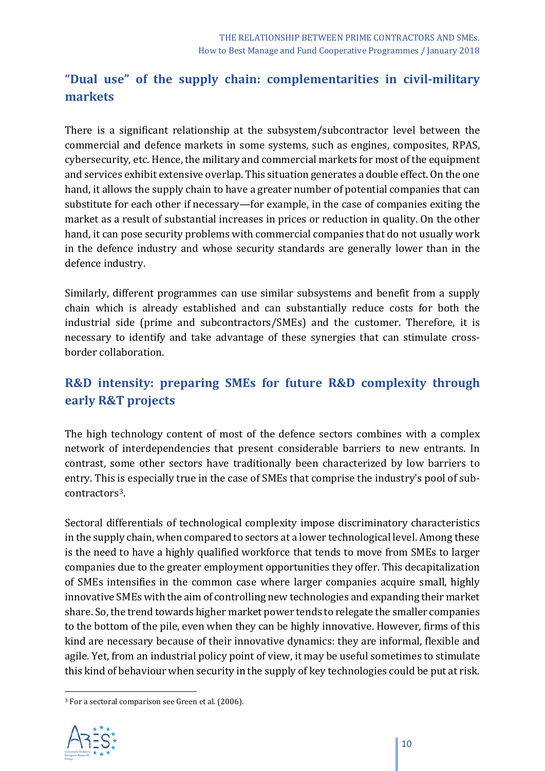## **"Dual use" of the supply chain: complementarities in civil-military markets**

There is a significant relationship at the subsystem/subcontractor level between the commercial and defence markets in some systems, such as engines, composites, RPAS, cybersecurity, etc. Hence, the military and commercial markets for most of the equipment and services exhibit extensive overlap. This situation generates a double effect. On the one hand, it allows the supply chain to have a greater number of potential companies that can substitute for each other if necessary—for example, in the case of companies exiting the market as a result of substantial increases in prices or reduction in quality. On the other hand, it can pose security problems with commercial companies that do not usually work in the defence industry and whose security standards are generally lower than in the defence industry.

Similarly, different programmes can use similar subsystems and benefit from a supply chain which is already established and can substantially reduce costs for both the industrial side (prime and subcontractors/SMEs) and the customer. Therefore, it is necessary to identify and take advantage of these synergies that can stimulate crossborder collaboration.

## **R&D intensity: preparing SMEs for future R&D complexity through early R&T projects**

The high technology content of most of the defence sectors combines with a complex network of interdependencies that present considerable barriers to new entrants. In contrast, some other sectors have traditionally been characterized by low barriers to entry. This is especially true in the case of SMEs that comprise the industry's pool of subcontractors[3](#page-9-0).

Sectoral differentials of technological complexity impose discriminatory characteristics in the supply chain, when compared to sectors at a lower technological level. Among these is the need to have a highly qualified workforce that tends to move from SMEs to larger companies due to the greater employment opportunities they offer. This decapitalization of SMEs intensifies in the common case where larger companies acquire small, highly innovative SMEs with the aim of controlling new technologies and expanding their market share. So, the trend towards higher market power tends to relegate the smaller companies to the bottom of the pile, even when they can be highly innovative. However, firms of this kind are necessary because of their innovative dynamics: they are informal, flexible and agile. Yet, from an industrial policy point of view, it may be useful sometimes to stimulate this kind of behaviour when security in the supply of key technologies could be put at risk.

<span id="page-9-0"></span><sup>3</sup> For a sectoral comparison see Green et al. (2006).



**.**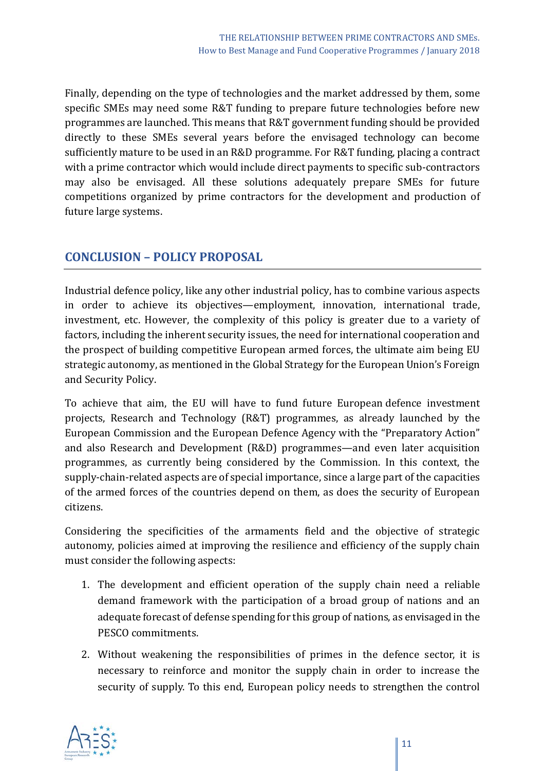Finally, depending on the type of technologies and the market addressed by them, some specific SMEs may need some R&T funding to prepare future technologies before new programmes are launched. This means that R&T government funding should be provided directly to these SMEs several years before the envisaged technology can become sufficiently mature to be used in an R&D programme. For R&T funding, placing a contract with a prime contractor which would include direct payments to specific sub-contractors may also be envisaged. All these solutions adequately prepare SMEs for future competitions organized by prime contractors for the development and production of future large systems.

#### **CONCLUSION – POLICY PROPOSAL**

Industrial defence policy, like any other industrial policy, has to combine various aspects in order to achieve its objectives—employment, innovation, international trade, investment, etc. However, the complexity of this policy is greater due to a variety of factors, including the inherent security issues, the need for international cooperation and the prospect of building competitive European armed forces, the ultimate aim being EU strategic autonomy, as mentioned in the Global Strategy for the European Union's Foreign and Security Policy.

To achieve that aim, the EU will have to fund future European defence investment projects, Research and Technology (R&T) programmes, as already launched by the European Commission and the European Defence Agency with the "Preparatory Action" and also Research and Development (R&D) programmes—and even later acquisition programmes, as currently being considered by the Commission. In this context, the supply-chain-related aspects are of special importance, since a large part of the capacities of the armed forces of the countries depend on them, as does the security of European citizens.

Considering the specificities of the armaments field and the objective of strategic autonomy, policies aimed at improving the resilience and efficiency of the supply chain must consider the following aspects:

- 1. The development and efficient operation of the supply chain need a reliable demand framework with the participation of a broad group of nations and an adequate forecast of defense spending for this group of nations, as envisaged in the PESCO commitments.
- 2. Without weakening the responsibilities of primes in the defence sector, it is necessary to reinforce and monitor the supply chain in order to increase the security of supply. To this end, European policy needs to strengthen the control

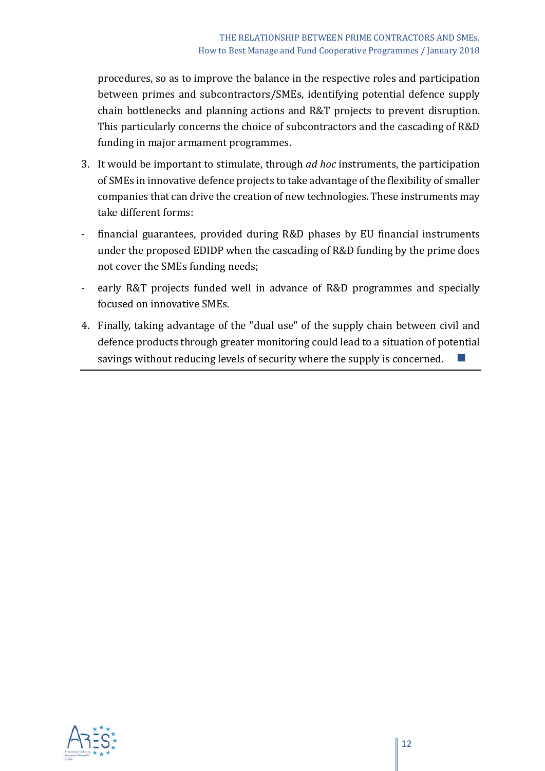procedures, so as to improve the balance in the respective roles and participation between primes and subcontractors/SMEs, identifying potential defence supply chain bottlenecks and planning actions and R&T projects to prevent disruption. This particularly concerns the choice of subcontractors and the cascading of R&D funding in major armament programmes.

- 3. It would be important to stimulate, through *ad hoc* instruments, the participation of SMEs in innovative defence projects to take advantage of the flexibility of smaller companies that can drive the creation of new technologies. These instruments may take different forms:
- financial guarantees, provided during R&D phases by EU financial instruments under the proposed EDIDP when the cascading of R&D funding by the prime does not cover the SMEs funding needs;
- early R&T projects funded well in advance of R&D programmes and specially focused on innovative SMEs.
- 4. Finally, taking advantage of the "dual use" of the supply chain between civil and defence products through greater monitoring could lead to a situation of potential savings without reducing levels of security where the supply is concerned.

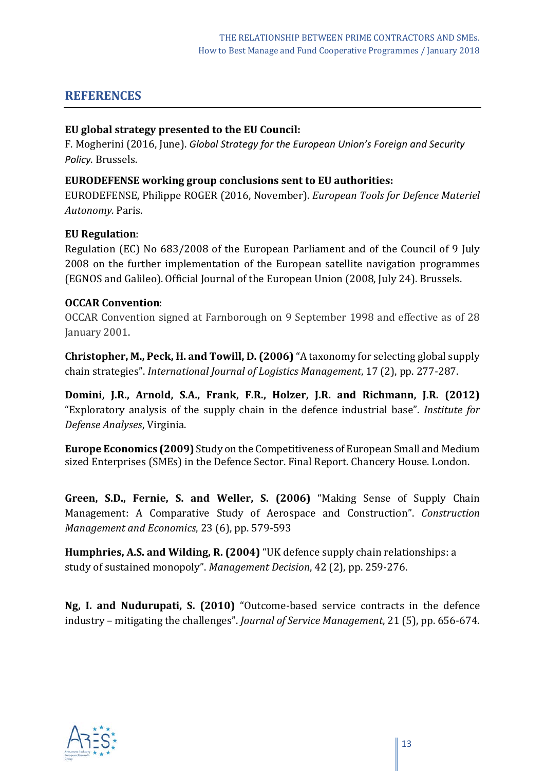#### **REFERENCES**

#### **EU global strategy presented to the EU Council:**

F. Mogherini (2016, June). *Global Strategy for the European Union's Foreign and Security Policy*. Brussels.

#### **EURODEFENSE working group conclusions sent to EU authorities:**

EURODEFENSE, Philippe ROGER (2016, November). *European Tools for Defence Materiel Autonomy.* Paris.

#### **EU Regulation**:

Regulation (EC) No 683/2008 of the European Parliament and of the Council of 9 July 2008 on the further implementation of the European satellite navigation programmes (EGNOS and Galileo). Official Journal of the European Union (2008, July 24). Brussels.

#### **OCCAR Convention**:

OCCAR Convention signed at Farnborough on 9 September 1998 and effective as of 28 January 2001.

**Christopher, M., Peck, H. and Towill, D. (2006)** "A taxonomy for selecting global supply chain strategies". *International Journal of Logistics Management*, 17 (2), pp. 277-287.

**Domini, J.R., Arnold, S.A., Frank, F.R., Holzer, J.R. and Richmann, J.R. (2012)**  "Exploratory analysis of the supply chain in the defence industrial base". *Institute for Defense Analyses*, Virginia.

**Europe Economics (2009)** Study on the Competitiveness of European Small and Medium sized Enterprises (SMEs) in the Defence Sector. Final Report. Chancery House. London.

**Green, S.D., Fernie, S. and Weller, S. (2006)** "Making Sense of Supply Chain Management: A Comparative Study of Aerospace and Construction". *Construction Management and Economics*, 23 (6), pp. 579-593

**Humphries, A.S. and Wilding, R. (2004)** "UK defence supply chain relationships: a study of sustained monopoly". *Management Decision*, 42 (2), pp. 259-276.

**Ng, I. and Nudurupati, S. (2010)** "Outcome-based service contracts in the defence industry – mitigating the challenges". *Journal of Service Management*, 21 (5), pp. 656-674.